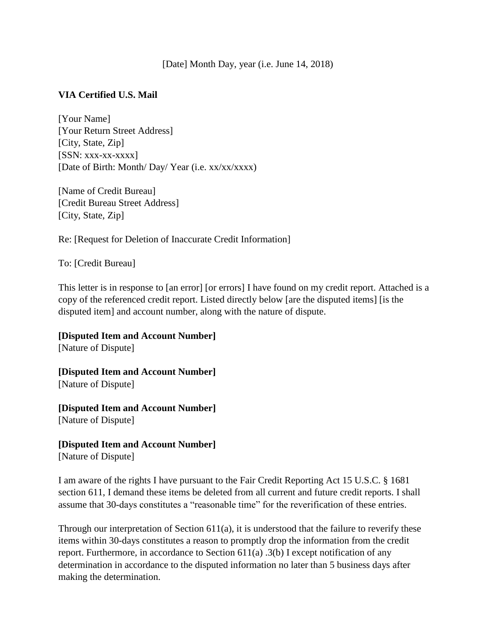[Date] Month Day, year (i.e. June 14, 2018)

## **VIA Certified U.S. Mail**

[Your Name] [Your Return Street Address] [City, State, Zip]  $[SSN: XXX-XX-XXXX]$ [Date of Birth: Month/ Day/ Year (i.e. xx/xx/xxxx)

[Name of Credit Bureau] [Credit Bureau Street Address] [City, State, Zip]

Re: [Request for Deletion of Inaccurate Credit Information]

To: [Credit Bureau]

This letter is in response to [an error] [or errors] I have found on my credit report. Attached is a copy of the referenced credit report. Listed directly below [are the disputed items] [is the disputed item] and account number, along with the nature of dispute.

**[Disputed Item and Account Number]** [Nature of Dispute]

**[Disputed Item and Account Number]** [Nature of Dispute]

**[Disputed Item and Account Number]** [Nature of Dispute]

**[Disputed Item and Account Number]** [Nature of Dispute]

I am aware of the rights I have pursuant to the Fair Credit Reporting Act 15 U.S.C. § 1681 section 611, I demand these items be deleted from all current and future credit reports. I shall assume that 30-days constitutes a "reasonable time" for the reverification of these entries.

Through our interpretation of Section 611(a), it is understood that the failure to reverify these items within 30-days constitutes a reason to promptly drop the information from the credit report. Furthermore, in accordance to Section 611(a) .3(b) I except notification of any determination in accordance to the disputed information no later than 5 business days after making the determination.